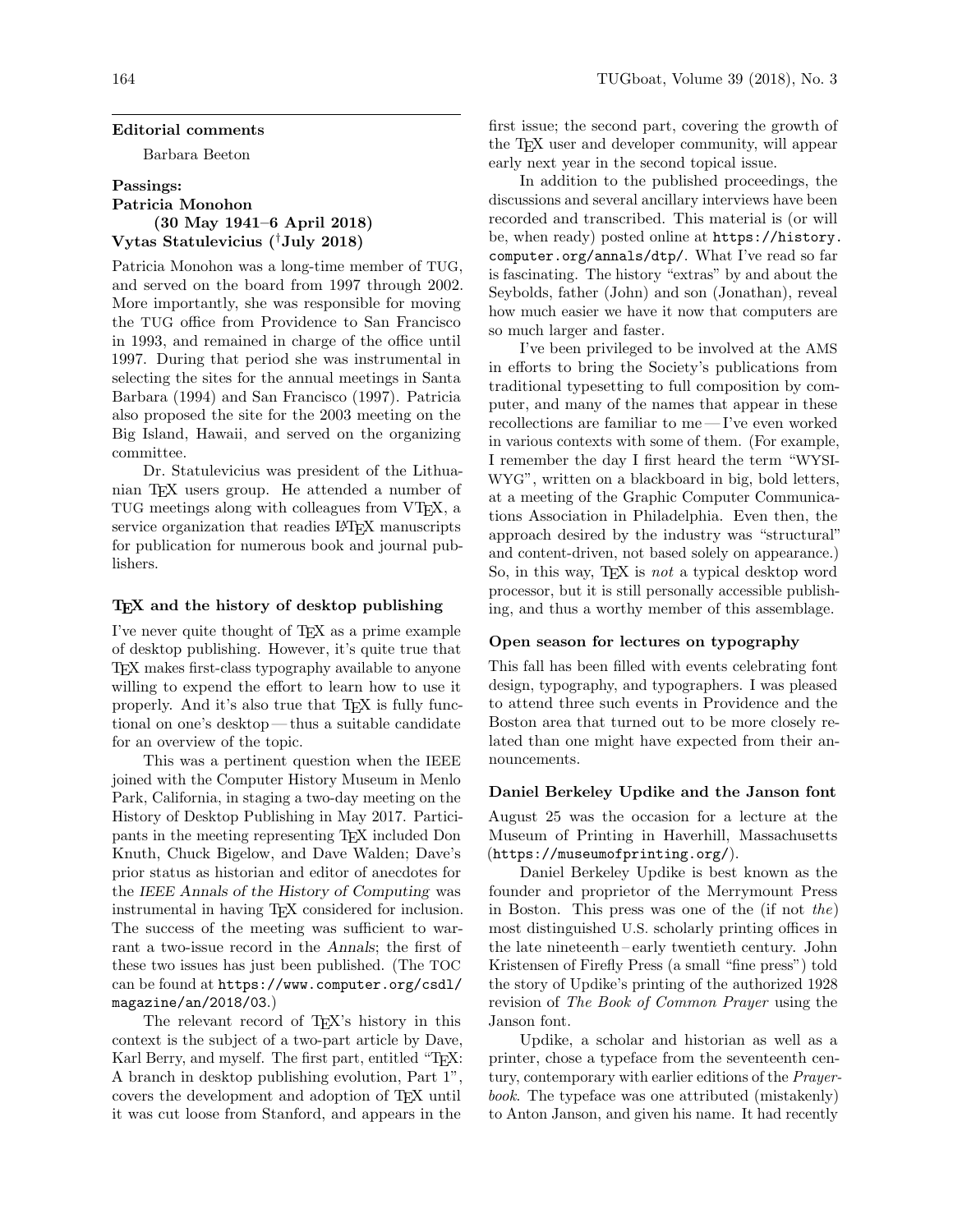#### Editorial comments

Barbara Beeton

# Passings: Patricia Monohon (30 May 1941–6 April 2018) Vytas Statulevicius (†July 2018)

Patricia Monohon was a long-time member of TUG, and served on the board from 1997 through 2002. More importantly, she was responsible for moving the TUG office from Providence to San Francisco in 1993, and remained in charge of the office until 1997. During that period she was instrumental in selecting the sites for the annual meetings in Santa Barbara (1994) and San Francisco (1997). Patricia also proposed the site for the 2003 meeting on the Big Island, Hawaii, and served on the organizing committee.

Dr. Statulevicius was president of the Lithuanian TEX users group. He attended a number of TUG meetings along with colleagues from VTEX, a service organization that readies LATEX manuscripts for publication for numerous book and journal publishers.

## TEX and the history of desktop publishing

I've never quite thought of TEX as a prime example of desktop publishing. However, it's quite true that TEX makes first-class typography available to anyone willing to expend the effort to learn how to use it properly. And it's also true that T<sub>EX</sub> is fully functional on one's desktop— thus a suitable candidate for an overview of the topic.

This was a pertinent question when the IEEE joined with the Computer History Museum in Menlo Park, California, in staging a two-day meeting on the History of Desktop Publishing in May 2017. Participants in the meeting representing TEX included Don Knuth, Chuck Bigelow, and Dave Walden; Dave's prior status as historian and editor of anecdotes for the IEEE Annals of the History of Computing was instrumental in having TEX considered for inclusion. The success of the meeting was sufficient to warrant a two-issue record in the Annals; the first of these two issues has just been published. (The TOC can be found at [https://www.computer.org/csdl/](https://www.computer.org/csdl/magazine/an/2018/03) [magazine/an/2018/03](https://www.computer.org/csdl/magazine/an/2018/03).)

The relevant record of T<sub>EX</sub>'s history in this context is the subject of a two-part article by Dave, Karl Berry, and myself. The first part, entitled "TFX: A branch in desktop publishing evolution, Part 1", covers the development and adoption of TEX until it was cut loose from Stanford, and appears in the

first issue; the second part, covering the growth of the TEX user and developer community, will appear early next year in the second topical issue.

In addition to the published proceedings, the discussions and several ancillary interviews have been recorded and transcribed. This material is (or will be, when ready) posted online at [https://history.](https://history.computer.org/annals/dtp/) [computer.org/annals/dtp/](https://history.computer.org/annals/dtp/). What I've read so far is fascinating. The history "extras" by and about the Seybolds, father (John) and son (Jonathan), reveal how much easier we have it now that computers are so much larger and faster.

I've been privileged to be involved at the AMS in efforts to bring the Society's publications from traditional typesetting to full composition by computer, and many of the names that appear in these recollections are familiar to me— I've even worked in various contexts with some of them. (For example, I remember the day I first heard the term "WYSI-WYG", written on a blackboard in big, bold letters, at a meeting of the Graphic Computer Communications Association in Philadelphia. Even then, the approach desired by the industry was "structural" and content-driven, not based solely on appearance.) So, in this way, TEX is not a typical desktop word processor, but it is still personally accessible publishing, and thus a worthy member of this assemblage.

# Open season for lectures on typography

This fall has been filled with events celebrating font design, typography, and typographers. I was pleased to attend three such events in Providence and the Boston area that turned out to be more closely related than one might have expected from their announcements.

#### Daniel Berkeley Updike and the Janson font

August 25 was the occasion for a lecture at the Museum of Printing in Haverhill, Massachusetts (<https://museumofprinting.org/>).

Daniel Berkeley Updike is best known as the founder and proprietor of the Merrymount Press in Boston. This press was one of the (if not the) most distinguished U.S. scholarly printing offices in the late nineteenth – early twentieth century. John Kristensen of Firefly Press (a small "fine press") told the story of Updike's printing of the authorized 1928 revision of The Book of Common Prayer using the Janson font.

Updike, a scholar and historian as well as a printer, chose a typeface from the seventeenth century, contemporary with earlier editions of the Prayerbook. The typeface was one attributed (mistakenly) to Anton Janson, and given his name. It had recently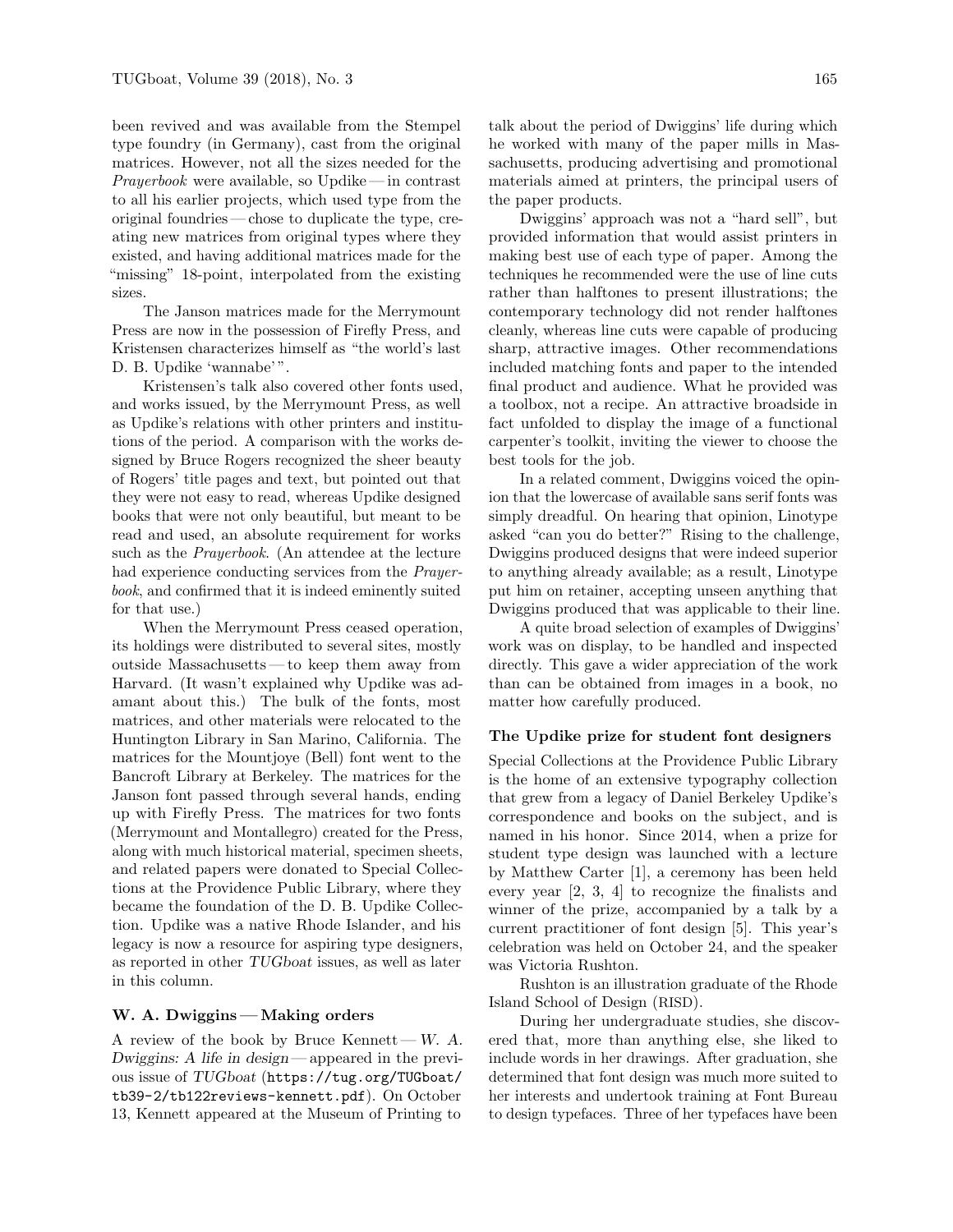been revived and was available from the Stempel type foundry (in Germany), cast from the original matrices. However, not all the sizes needed for the Prayerbook were available, so Updike— in contrast to all his earlier projects, which used type from the original foundries — chose to duplicate the type, creating new matrices from original types where they existed, and having additional matrices made for the "missing" 18-point, interpolated from the existing sizes.

The Janson matrices made for the Merrymount Press are now in the possession of Firefly Press, and Kristensen characterizes himself as "the world's last D. B. Updike 'wannabe'".

Kristensen's talk also covered other fonts used, and works issued, by the Merrymount Press, as well as Updike's relations with other printers and institutions of the period. A comparison with the works designed by Bruce Rogers recognized the sheer beauty of Rogers' title pages and text, but pointed out that they were not easy to read, whereas Updike designed books that were not only beautiful, but meant to be read and used, an absolute requirement for works such as the Prayerbook. (An attendee at the lecture had experience conducting services from the Prayerbook, and confirmed that it is indeed eminently suited for that use.)

When the Merrymount Press ceased operation, its holdings were distributed to several sites, mostly outside Massachusetts— to keep them away from Harvard. (It wasn't explained why Updike was adamant about this.) The bulk of the fonts, most matrices, and other materials were relocated to the Huntington Library in San Marino, California. The matrices for the Mountjoye (Bell) font went to the Bancroft Library at Berkeley. The matrices for the Janson font passed through several hands, ending up with Firefly Press. The matrices for two fonts (Merrymount and Montallegro) created for the Press, along with much historical material, specimen sheets, and related papers were donated to Special Collections at the Providence Public Library, where they became the foundation of the D. B. Updike Collection. Updike was a native Rhode Islander, and his legacy is now a resource for aspiring type designers, as reported in other TUGboat issues, as well as later in this column.

## W. A. Dwiggins— Making orders

A review of the book by Bruce Kennett— W. A. Dwiggins: A life in design — appeared in the previous issue of TUGboat ([https://tug.org/TUGboat/](https://tug.org/TUGboat/tb39-2/tb122reviews-kennett.pdf) [tb39-2/tb122reviews-kennett.pdf](https://tug.org/TUGboat/tb39-2/tb122reviews-kennett.pdf)). On October 13, Kennett appeared at the Museum of Printing to

talk about the period of Dwiggins' life during which he worked with many of the paper mills in Massachusetts, producing advertising and promotional materials aimed at printers, the principal users of the paper products.

Dwiggins' approach was not a "hard sell", but provided information that would assist printers in making best use of each type of paper. Among the techniques he recommended were the use of line cuts rather than halftones to present illustrations; the contemporary technology did not render halftones cleanly, whereas line cuts were capable of producing sharp, attractive images. Other recommendations included matching fonts and paper to the intended final product and audience. What he provided was a toolbox, not a recipe. An attractive broadside in fact unfolded to display the image of a functional carpenter's toolkit, inviting the viewer to choose the best tools for the job.

In a related comment, Dwiggins voiced the opinion that the lowercase of available sans serif fonts was simply dreadful. On hearing that opinion, Linotype asked "can you do better?" Rising to the challenge, Dwiggins produced designs that were indeed superior to anything already available; as a result, Linotype put him on retainer, accepting unseen anything that Dwiggins produced that was applicable to their line.

A quite broad selection of examples of Dwiggins' work was on display, to be handled and inspected directly. This gave a wider appreciation of the work than can be obtained from images in a book, no matter how carefully produced.

### The Updike prize for student font designers

Special Collections at the Providence Public Library is the home of an extensive typography collection that grew from a legacy of Daniel Berkeley Updike's correspondence and books on the subject, and is named in his honor. Since 2014, when a prize for student type design was launched with a lecture by Matthew Carter [\[1\]](#page-2-0), a ceremony has been held every year [\[2,](#page-2-1) [3,](#page-2-2) [4\]](#page-2-3) to recognize the finalists and winner of the prize, accompanied by a talk by a current practitioner of font design [\[5\]](#page-2-4). This year's celebration was held on October 24, and the speaker was Victoria Rushton.

Rushton is an illustration graduate of the Rhode Island School of Design (RISD).

During her undergraduate studies, she discovered that, more than anything else, she liked to include words in her drawings. After graduation, she determined that font design was much more suited to her interests and undertook training at Font Bureau to design typefaces. Three of her typefaces have been